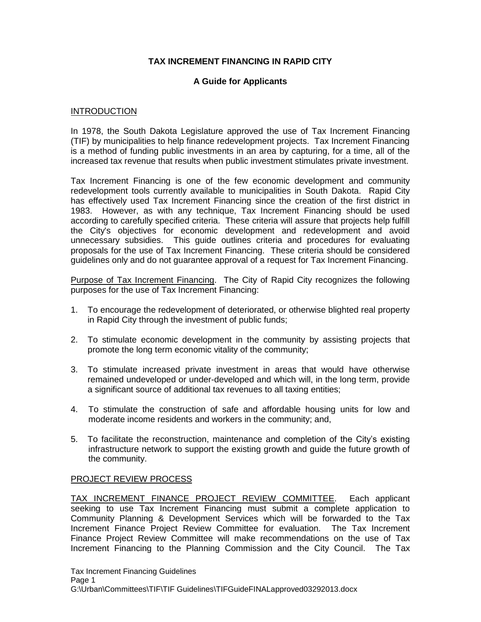## **TAX INCREMENT FINANCING IN RAPID CITY**

## **A Guide for Applicants**

### INTRODUCTION

In 1978, the South Dakota Legislature approved the use of Tax Increment Financing (TIF) by municipalities to help finance redevelopment projects. Tax Increment Financing is a method of funding public investments in an area by capturing, for a time, all of the increased tax revenue that results when public investment stimulates private investment.

Tax Increment Financing is one of the few economic development and community redevelopment tools currently available to municipalities in South Dakota. Rapid City has effectively used Tax Increment Financing since the creation of the first district in 1983. However, as with any technique, Tax Increment Financing should be used according to carefully specified criteria. These criteria will assure that projects help fulfill the City's objectives for economic development and redevelopment and avoid unnecessary subsidies. This guide outlines criteria and procedures for evaluating proposals for the use of Tax Increment Financing. These criteria should be considered guidelines only and do not guarantee approval of a request for Tax Increment Financing.

Purpose of Tax Increment Financing. The City of Rapid City recognizes the following purposes for the use of Tax Increment Financing:

- 1. To encourage the redevelopment of deteriorated, or otherwise blighted real property in Rapid City through the investment of public funds;
- 2. To stimulate economic development in the community by assisting projects that promote the long term economic vitality of the community;
- 3. To stimulate increased private investment in areas that would have otherwise remained undeveloped or under-developed and which will, in the long term, provide a significant source of additional tax revenues to all taxing entities;
- 4. To stimulate the construction of safe and affordable housing units for low and moderate income residents and workers in the community; and,
- 5. To facilitate the reconstruction, maintenance and completion of the City's existing infrastructure network to support the existing growth and guide the future growth of the community.

## PROJECT REVIEW PROCESS

TAX INCREMENT FINANCE PROJECT REVIEW COMMITTEE. Each applicant seeking to use Tax Increment Financing must submit a complete application to Community Planning & Development Services which will be forwarded to the Tax Increment Finance Project Review Committee for evaluation. The Tax Increment Finance Project Review Committee will make recommendations on the use of Tax Increment Financing to the Planning Commission and the City Council. The Tax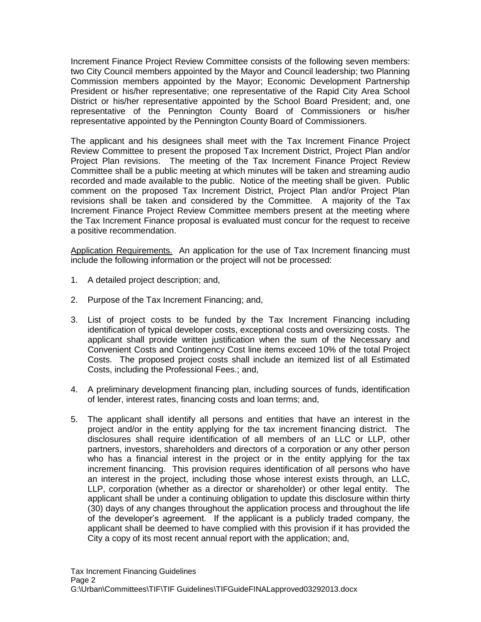Increment Finance Project Review Committee consists of the following seven members: two City Council members appointed by the Mayor and Council leadership; two Planning Commission members appointed by the Mayor; Economic Development Partnership President or his/her representative; one representative of the Rapid City Area School District or his/her representative appointed by the School Board President; and, one representative of the Pennington County Board of Commissioners or his/her representative appointed by the Pennington County Board of Commissioners.

The applicant and his designees shall meet with the Tax Increment Finance Project Review Committee to present the proposed Tax Increment District, Project Plan and/or Project Plan revisions. The meeting of the Tax Increment Finance Project Review Committee shall be a public meeting at which minutes will be taken and streaming audio recorded and made available to the public. Notice of the meeting shall be given. Public comment on the proposed Tax Increment District, Project Plan and/or Project Plan revisions shall be taken and considered by the Committee. A majority of the Tax Increment Finance Project Review Committee members present at the meeting where the Tax Increment Finance proposal is evaluated must concur for the request to receive a positive recommendation.

Application Requirements. An application for the use of Tax Increment financing must include the following information or the project will not be processed:

- 1. A detailed project description; and,
- 2. Purpose of the Tax Increment Financing; and,
- 3. List of project costs to be funded by the Tax Increment Financing including identification of typical developer costs, exceptional costs and oversizing costs. The applicant shall provide written justification when the sum of the Necessary and Convenient Costs and Contingency Cost line items exceed 10% of the total Project Costs. The proposed project costs shall include an itemized list of all Estimated Costs, including the Professional Fees.; and,
- 4. A preliminary development financing plan, including sources of funds, identification of lender, interest rates, financing costs and loan terms; and,
- 5. The applicant shall identify all persons and entities that have an interest in the project and/or in the entity applying for the tax increment financing district. The disclosures shall require identification of all members of an LLC or LLP, other partners, investors, shareholders and directors of a corporation or any other person who has a financial interest in the project or in the entity applying for the tax increment financing. This provision requires identification of all persons who have an interest in the project, including those whose interest exists through, an LLC, LLP, corporation (whether as a director or shareholder) or other legal entity. The applicant shall be under a continuing obligation to update this disclosure within thirty (30) days of any changes throughout the application process and throughout the life of the developer's agreement. If the applicant is a publicly traded company, the applicant shall be deemed to have complied with this provision if it has provided the City a copy of its most recent annual report with the application; and,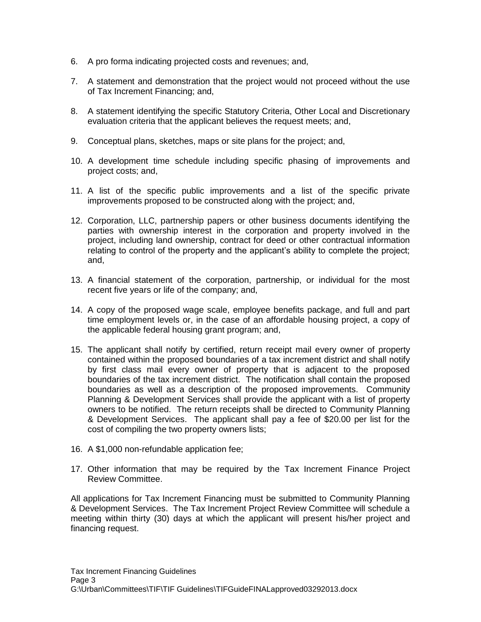- 6. A pro forma indicating projected costs and revenues; and,
- 7. A statement and demonstration that the project would not proceed without the use of Tax Increment Financing; and,
- 8. A statement identifying the specific Statutory Criteria, Other Local and Discretionary evaluation criteria that the applicant believes the request meets; and,
- 9. Conceptual plans, sketches, maps or site plans for the project; and,
- 10. A development time schedule including specific phasing of improvements and project costs; and,
- 11. A list of the specific public improvements and a list of the specific private improvements proposed to be constructed along with the project; and,
- 12. Corporation, LLC, partnership papers or other business documents identifying the parties with ownership interest in the corporation and property involved in the project, including land ownership, contract for deed or other contractual information relating to control of the property and the applicant's ability to complete the project; and,
- 13. A financial statement of the corporation, partnership, or individual for the most recent five years or life of the company; and,
- 14. A copy of the proposed wage scale, employee benefits package, and full and part time employment levels or, in the case of an affordable housing project, a copy of the applicable federal housing grant program; and,
- 15. The applicant shall notify by certified, return receipt mail every owner of property contained within the proposed boundaries of a tax increment district and shall notify by first class mail every owner of property that is adjacent to the proposed boundaries of the tax increment district. The notification shall contain the proposed boundaries as well as a description of the proposed improvements. Community Planning & Development Services shall provide the applicant with a list of property owners to be notified. The return receipts shall be directed to Community Planning & Development Services. The applicant shall pay a fee of \$20.00 per list for the cost of compiling the two property owners lists;
- 16. A \$1,000 non-refundable application fee;
- 17. Other information that may be required by the Tax Increment Finance Project Review Committee.

All applications for Tax Increment Financing must be submitted to Community Planning & Development Services. The Tax Increment Project Review Committee will schedule a meeting within thirty (30) days at which the applicant will present his/her project and financing request.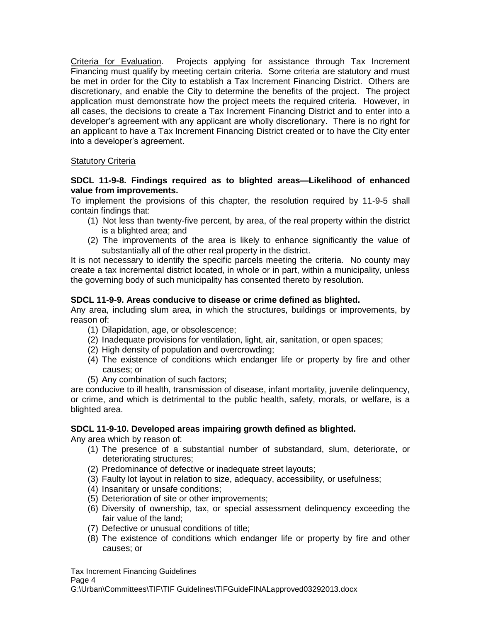Criteria for Evaluation. Projects applying for assistance through Tax Increment Financing must qualify by meeting certain criteria. Some criteria are statutory and must be met in order for the City to establish a Tax Increment Financing District. Others are discretionary, and enable the City to determine the benefits of the project. The project application must demonstrate how the project meets the required criteria. However, in all cases, the decisions to create a Tax Increment Financing District and to enter into a developer's agreement with any applicant are wholly discretionary. There is no right for an applicant to have a Tax Increment Financing District created or to have the City enter into a developer's agreement.

## Statutory Criteria

## **SDCL 11-9-8. Findings required as to blighted areas—Likelihood of enhanced value from improvements.**

To implement the provisions of this chapter, the resolution required by 11-9-5 shall contain findings that:

- (1) Not less than twenty-five percent, by area, of the real property within the district is a blighted area; and
- (2) The improvements of the area is likely to enhance significantly the value of substantially all of the other real property in the district.

It is not necessary to identify the specific parcels meeting the criteria. No county may create a tax incremental district located, in whole or in part, within a municipality, unless the governing body of such municipality has consented thereto by resolution.

## **SDCL 11-9-9. Areas conducive to disease or crime defined as blighted.**

Any area, including slum area, in which the structures, buildings or improvements, by reason of:

- (1) Dilapidation, age, or obsolescence;
- (2) Inadequate provisions for ventilation, light, air, sanitation, or open spaces;
- (2) High density of population and overcrowding;
- (4) The existence of conditions which endanger life or property by fire and other causes; or
- (5) Any combination of such factors;

are conducive to ill health, transmission of disease, infant mortality, juvenile delinquency, or crime, and which is detrimental to the public health, safety, morals, or welfare, is a blighted area.

## **SDCL 11-9-10. Developed areas impairing growth defined as blighted.**

Any area which by reason of:

- (1) The presence of a substantial number of substandard, slum, deteriorate, or deteriorating structures;
- (2) Predominance of defective or inadequate street layouts;
- (3) Faulty lot layout in relation to size, adequacy, accessibility, or usefulness;
- (4) Insanitary or unsafe conditions;
- (5) Deterioration of site or other improvements;
- (6) Diversity of ownership, tax, or special assessment delinquency exceeding the fair value of the land;
- (7) Defective or unusual conditions of title;
- (8) The existence of conditions which endanger life or property by fire and other causes; or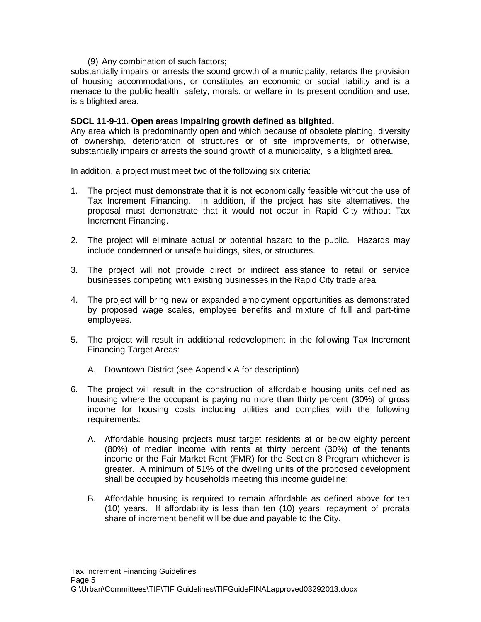#### (9) Any combination of such factors;

substantially impairs or arrests the sound growth of a municipality, retards the provision of housing accommodations, or constitutes an economic or social liability and is a menace to the public health, safety, morals, or welfare in its present condition and use, is a blighted area.

### **SDCL 11-9-11. Open areas impairing growth defined as blighted.**

Any area which is predominantly open and which because of obsolete platting, diversity of ownership, deterioration of structures or of site improvements, or otherwise, substantially impairs or arrests the sound growth of a municipality, is a blighted area.

#### In addition, a project must meet two of the following six criteria:

- 1. The project must demonstrate that it is not economically feasible without the use of Tax Increment Financing. In addition, if the project has site alternatives, the proposal must demonstrate that it would not occur in Rapid City without Tax Increment Financing.
- 2. The project will eliminate actual or potential hazard to the public. Hazards may include condemned or unsafe buildings, sites, or structures.
- 3. The project will not provide direct or indirect assistance to retail or service businesses competing with existing businesses in the Rapid City trade area.
- 4. The project will bring new or expanded employment opportunities as demonstrated by proposed wage scales, employee benefits and mixture of full and part-time employees.
- 5. The project will result in additional redevelopment in the following Tax Increment Financing Target Areas:
	- A. Downtown District (see Appendix A for description)
- 6. The project will result in the construction of affordable housing units defined as housing where the occupant is paying no more than thirty percent (30%) of gross income for housing costs including utilities and complies with the following requirements:
	- A. Affordable housing projects must target residents at or below eighty percent (80%) of median income with rents at thirty percent (30%) of the tenants income or the Fair Market Rent (FMR) for the Section 8 Program whichever is greater. A minimum of 51% of the dwelling units of the proposed development shall be occupied by households meeting this income guideline;
	- B. Affordable housing is required to remain affordable as defined above for ten (10) years. If affordability is less than ten (10) years, repayment of prorata share of increment benefit will be due and payable to the City.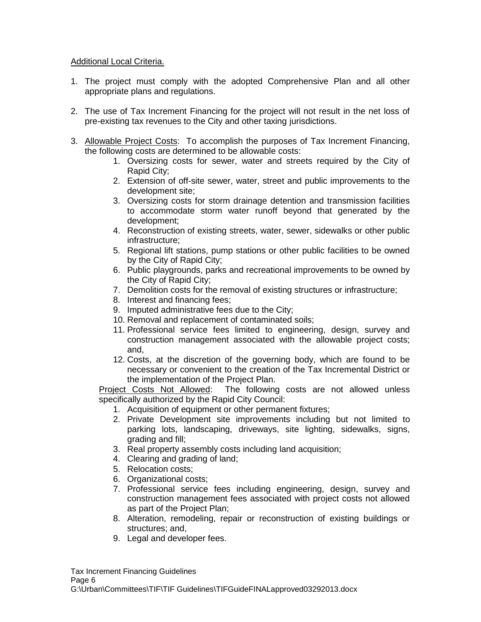## Additional Local Criteria.

- 1. The project must comply with the adopted Comprehensive Plan and all other appropriate plans and regulations.
- 2. The use of Tax Increment Financing for the project will not result in the net loss of pre-existing tax revenues to the City and other taxing jurisdictions.
- 3. Allowable Project Costs: To accomplish the purposes of Tax Increment Financing, the following costs are determined to be allowable costs:
	- 1. Oversizing costs for sewer, water and streets required by the City of Rapid City;
	- 2. Extension of off-site sewer, water, street and public improvements to the development site;
	- 3. Oversizing costs for storm drainage detention and transmission facilities to accommodate storm water runoff beyond that generated by the development;
	- 4. Reconstruction of existing streets, water, sewer, sidewalks or other public infrastructure;
	- 5. Regional lift stations, pump stations or other public facilities to be owned by the City of Rapid City;
	- 6. Public playgrounds, parks and recreational improvements to be owned by the City of Rapid City;
	- 7. Demolition costs for the removal of existing structures or infrastructure;
	- 8. Interest and financing fees;
	- 9. Imputed administrative fees due to the City;
	- 10. Removal and replacement of contaminated soils;
	- 11. Professional service fees limited to engineering, design, survey and construction management associated with the allowable project costs; and,
	- 12. Costs, at the discretion of the governing body, which are found to be necessary or convenient to the creation of the Tax Incremental District or the implementation of the Project Plan.

Project Costs Not Allowed: The following costs are not allowed unless specifically authorized by the Rapid City Council:

- 1. Acquisition of equipment or other permanent fixtures;
- 2. Private Development site improvements including but not limited to parking lots, landscaping, driveways, site lighting, sidewalks, signs, grading and fill;
- 3. Real property assembly costs including land acquisition;
- 4. Clearing and grading of land;
- 5. Relocation costs;
- 6. Organizational costs;
- 7. Professional service fees including engineering, design, survey and construction management fees associated with project costs not allowed as part of the Project Plan;
- 8. Alteration, remodeling, repair or reconstruction of existing buildings or structures; and,
- 9. Legal and developer fees.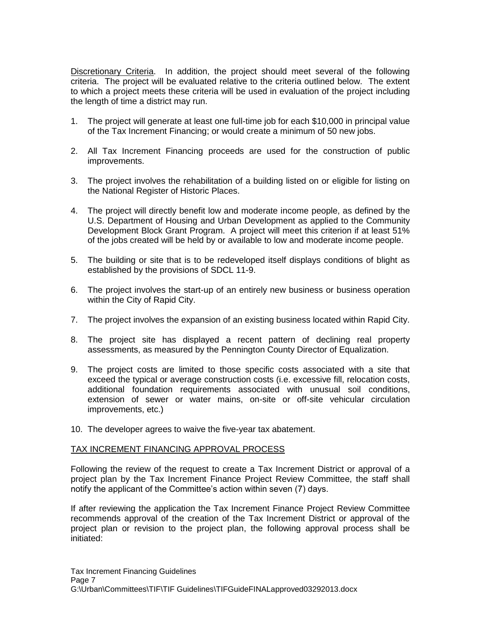Discretionary Criteria. In addition, the project should meet several of the following criteria. The project will be evaluated relative to the criteria outlined below. The extent to which a project meets these criteria will be used in evaluation of the project including the length of time a district may run.

- 1. The project will generate at least one full-time job for each \$10,000 in principal value of the Tax Increment Financing; or would create a minimum of 50 new jobs.
- 2. All Tax Increment Financing proceeds are used for the construction of public improvements.
- 3. The project involves the rehabilitation of a building listed on or eligible for listing on the National Register of Historic Places.
- 4. The project will directly benefit low and moderate income people, as defined by the U.S. Department of Housing and Urban Development as applied to the Community Development Block Grant Program. A project will meet this criterion if at least 51% of the jobs created will be held by or available to low and moderate income people.
- 5. The building or site that is to be redeveloped itself displays conditions of blight as established by the provisions of SDCL 11-9.
- 6. The project involves the start-up of an entirely new business or business operation within the City of Rapid City.
- 7. The project involves the expansion of an existing business located within Rapid City.
- 8. The project site has displayed a recent pattern of declining real property assessments, as measured by the Pennington County Director of Equalization.
- 9. The project costs are limited to those specific costs associated with a site that exceed the typical or average construction costs (i.e. excessive fill, relocation costs, additional foundation requirements associated with unusual soil conditions, extension of sewer or water mains, on-site or off-site vehicular circulation improvements, etc.)
- 10. The developer agrees to waive the five-year tax abatement.

## TAX INCREMENT FINANCING APPROVAL PROCESS

Following the review of the request to create a Tax Increment District or approval of a project plan by the Tax Increment Finance Project Review Committee, the staff shall notify the applicant of the Committee's action within seven (7) days.

If after reviewing the application the Tax Increment Finance Project Review Committee recommends approval of the creation of the Tax Increment District or approval of the project plan or revision to the project plan, the following approval process shall be initiated: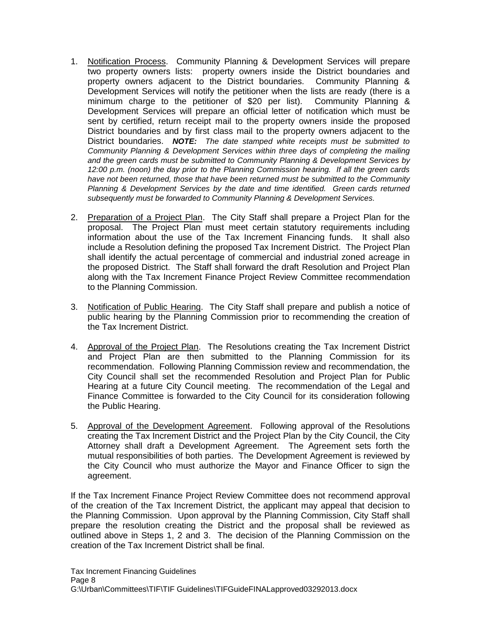- 1. Notification Process. Community Planning & Development Services will prepare two property owners lists: property owners inside the District boundaries and property owners adjacent to the District boundaries. Community Planning & Development Services will notify the petitioner when the lists are ready (there is a minimum charge to the petitioner of \$20 per list). Community Planning & Development Services will prepare an official letter of notification which must be sent by certified, return receipt mail to the property owners inside the proposed District boundaries and by first class mail to the property owners adjacent to the District boundaries. *NOTE: The date stamped white receipts must be submitted to Community Planning & Development Services within three days of completing the mailing and the green cards must be submitted to Community Planning & Development Services by 12:00 p.m. (noon) the day prior to the Planning Commission hearing. If all the green cards*  have not been returned, those that have been returned must be submitted to the Community *Planning & Development Services by the date and time identified. Green cards returned subsequently must be forwarded to Community Planning & Development Services.*
- 2. Preparation of a Project Plan. The City Staff shall prepare a Project Plan for the proposal. The Project Plan must meet certain statutory requirements including information about the use of the Tax Increment Financing funds. It shall also include a Resolution defining the proposed Tax Increment District. The Project Plan shall identify the actual percentage of commercial and industrial zoned acreage in the proposed District. The Staff shall forward the draft Resolution and Project Plan along with the Tax Increment Finance Project Review Committee recommendation to the Planning Commission.
- 3. Notification of Public Hearing. The City Staff shall prepare and publish a notice of public hearing by the Planning Commission prior to recommending the creation of the Tax Increment District.
- 4. Approval of the Project Plan. The Resolutions creating the Tax Increment District and Project Plan are then submitted to the Planning Commission for its recommendation. Following Planning Commission review and recommendation, the City Council shall set the recommended Resolution and Project Plan for Public Hearing at a future City Council meeting. The recommendation of the Legal and Finance Committee is forwarded to the City Council for its consideration following the Public Hearing.
- 5. Approval of the Development Agreement. Following approval of the Resolutions creating the Tax Increment District and the Project Plan by the City Council, the City Attorney shall draft a Development Agreement. The Agreement sets forth the mutual responsibilities of both parties. The Development Agreement is reviewed by the City Council who must authorize the Mayor and Finance Officer to sign the agreement.

If the Tax Increment Finance Project Review Committee does not recommend approval of the creation of the Tax Increment District, the applicant may appeal that decision to the Planning Commission. Upon approval by the Planning Commission, City Staff shall prepare the resolution creating the District and the proposal shall be reviewed as outlined above in Steps 1, 2 and 3. The decision of the Planning Commission on the creation of the Tax Increment District shall be final.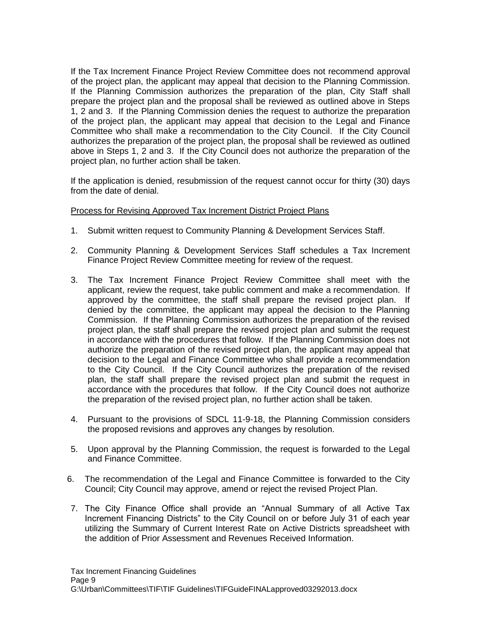If the Tax Increment Finance Project Review Committee does not recommend approval of the project plan, the applicant may appeal that decision to the Planning Commission. If the Planning Commission authorizes the preparation of the plan, City Staff shall prepare the project plan and the proposal shall be reviewed as outlined above in Steps 1, 2 and 3. If the Planning Commission denies the request to authorize the preparation of the project plan, the applicant may appeal that decision to the Legal and Finance Committee who shall make a recommendation to the City Council. If the City Council authorizes the preparation of the project plan, the proposal shall be reviewed as outlined above in Steps 1, 2 and 3. If the City Council does not authorize the preparation of the project plan, no further action shall be taken.

If the application is denied, resubmission of the request cannot occur for thirty (30) days from the date of denial.

## Process for Revising Approved Tax Increment District Project Plans

- 1. Submit written request to Community Planning & Development Services Staff.
- 2. Community Planning & Development Services Staff schedules a Tax Increment Finance Project Review Committee meeting for review of the request.
- 3. The Tax Increment Finance Project Review Committee shall meet with the applicant, review the request, take public comment and make a recommendation. If approved by the committee, the staff shall prepare the revised project plan. If denied by the committee, the applicant may appeal the decision to the Planning Commission. If the Planning Commission authorizes the preparation of the revised project plan, the staff shall prepare the revised project plan and submit the request in accordance with the procedures that follow. If the Planning Commission does not authorize the preparation of the revised project plan, the applicant may appeal that decision to the Legal and Finance Committee who shall provide a recommendation to the City Council. If the City Council authorizes the preparation of the revised plan, the staff shall prepare the revised project plan and submit the request in accordance with the procedures that follow. If the City Council does not authorize the preparation of the revised project plan, no further action shall be taken.
- 4. Pursuant to the provisions of SDCL 11-9-18, the Planning Commission considers the proposed revisions and approves any changes by resolution.
- 5. Upon approval by the Planning Commission, the request is forwarded to the Legal and Finance Committee.
- 6. The recommendation of the Legal and Finance Committee is forwarded to the City Council; City Council may approve, amend or reject the revised Project Plan.
- 7. The City Finance Office shall provide an "Annual Summary of all Active Tax Increment Financing Districts" to the City Council on or before July 31 of each year utilizing the Summary of Current Interest Rate on Active Districts spreadsheet with the addition of Prior Assessment and Revenues Received Information.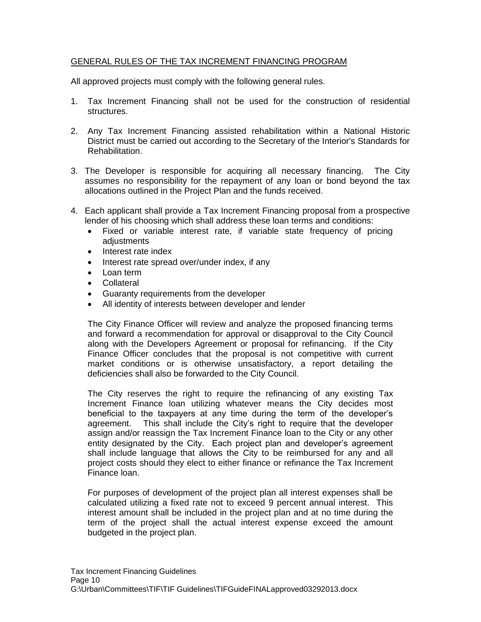## GENERAL RULES OF THE TAX INCREMENT FINANCING PROGRAM

All approved projects must comply with the following general rules.

- 1. Tax Increment Financing shall not be used for the construction of residential structures.
- 2. Any Tax Increment Financing assisted rehabilitation within a National Historic District must be carried out according to the Secretary of the Interior's Standards for Rehabilitation.
- 3. The Developer is responsible for acquiring all necessary financing. The City assumes no responsibility for the repayment of any loan or bond beyond the tax allocations outlined in the Project Plan and the funds received.
- 4. Each applicant shall provide a Tax Increment Financing proposal from a prospective lender of his choosing which shall address these loan terms and conditions:
	- Fixed or variable interest rate, if variable state frequency of pricing adiustments
	- Interest rate index
	- Interest rate spread over/under index, if any
	- Loan term
	- Collateral
	- Guaranty requirements from the developer
	- All identity of interests between developer and lender

The City Finance Officer will review and analyze the proposed financing terms and forward a recommendation for approval or disapproval to the City Council along with the Developers Agreement or proposal for refinancing. If the City Finance Officer concludes that the proposal is not competitive with current market conditions or is otherwise unsatisfactory, a report detailing the deficiencies shall also be forwarded to the City Council.

The City reserves the right to require the refinancing of any existing Tax Increment Finance loan utilizing whatever means the City decides most beneficial to the taxpayers at any time during the term of the developer's agreement. This shall include the City's right to require that the developer assign and/or reassign the Tax Increment Finance loan to the City or any other entity designated by the City. Each project plan and developer's agreement shall include language that allows the City to be reimbursed for any and all project costs should they elect to either finance or refinance the Tax Increment Finance loan.

For purposes of development of the project plan all interest expenses shall be calculated utilizing a fixed rate not to exceed 9 percent annual interest. This interest amount shall be included in the project plan and at no time during the term of the project shall the actual interest expense exceed the amount budgeted in the project plan.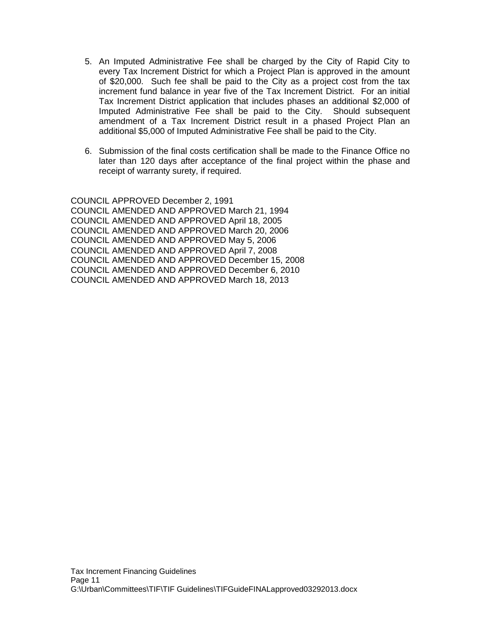- 5. An Imputed Administrative Fee shall be charged by the City of Rapid City to every Tax Increment District for which a Project Plan is approved in the amount of \$20,000. Such fee shall be paid to the City as a project cost from the tax increment fund balance in year five of the Tax Increment District. For an initial Tax Increment District application that includes phases an additional \$2,000 of Imputed Administrative Fee shall be paid to the City. Should subsequent amendment of a Tax Increment District result in a phased Project Plan an additional \$5,000 of Imputed Administrative Fee shall be paid to the City.
- 6. Submission of the final costs certification shall be made to the Finance Office no later than 120 days after acceptance of the final project within the phase and receipt of warranty surety, if required.

COUNCIL APPROVED December 2, 1991 COUNCIL AMENDED AND APPROVED March 21, 1994 COUNCIL AMENDED AND APPROVED April 18, 2005 COUNCIL AMENDED AND APPROVED March 20, 2006 COUNCIL AMENDED AND APPROVED May 5, 2006 COUNCIL AMENDED AND APPROVED April 7, 2008 COUNCIL AMENDED AND APPROVED December 15, 2008 COUNCIL AMENDED AND APPROVED December 6, 2010 COUNCIL AMENDED AND APPROVED March 18, 2013